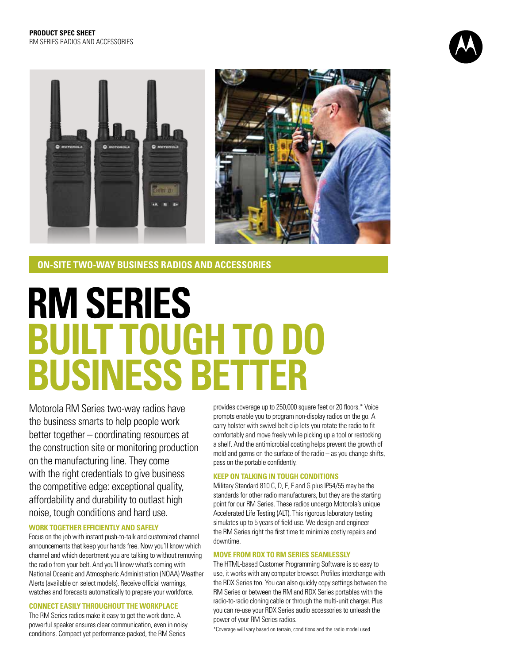



**ON-SITE TWO-WAY BUSINESS RADIOS AND ACCESSORIES** 

# **RM SERIES BUILT TOUGH TO DO BUSINESS BETTER**

Motorola RM Series two-way radios have the business smarts to help people work better together – coordinating resources at the construction site or monitoring production on the manufacturing line. They come with the right credentials to give business the competitive edge: exceptional quality, affordability and durability to outlast high noise, tough conditions and hard use.

#### **WORK TOGETHER EFFICIENTLY AND SAFELY**

Focus on the job with instant push-to-talk and customized channel announcements that keep your hands free. Now you'll know which channel and which department you are talking to without removing the radio from your belt. And you'll know what's coming with National Oceanic and Atmospheric Administration (NOAA) Weather Alerts (available on select models). Receive official warnings, watches and forecasts automatically to prepare your workforce.

#### **CONNECT EASILY THROUGHOUT THE WORKPLACE**

The RM Series radios make it easy to get the work done. A powerful speaker ensures clear communication, even in noisy conditions. Compact yet performance-packed, the RM Series

provides coverage up to 250,000 square feet or 20 floors.\* Voice prompts enable you to program non-display radios on the go. A carry holster with swivel belt clip lets you rotate the radio to fit comfortably and move freely while picking up a tool or restocking a shelf. And the antimicrobial coating helps prevent the growth of mold and germs on the surface of the radio – as you change shifts, pass on the portable confidently.

#### **KEEP ON TALKING IN TOUGH CONDITIONS**

Military Standard 810 C, D, E, F and G plus IP54/55 may be the standards for other radio manufacturers, but they are the starting point for our RM Series. These radios undergo Motorola's unique Accelerated Life Testing (ALT). This rigorous laboratory testing simulates up to 5 years of field use. We design and engineer the RM Series right the first time to minimize costly repairs and downtime.

#### **MOVE FROM RDX TO RM SERIES SEAMLESSLY**

The HTML-based Customer Programming Software is so easy to use, it works with any computer browser. Profiles interchange with the RDX Series too. You can also quickly copy settings between the RM Series or between the RM and RDX Series portables with the radio-to-radio cloning cable or through the multi-unit charger. Plus you can re-use your RDX Series audio accessories to unleash the power of your RM Series radios.

\*Coverage will vary based on terrain, conditions and the radio model used.